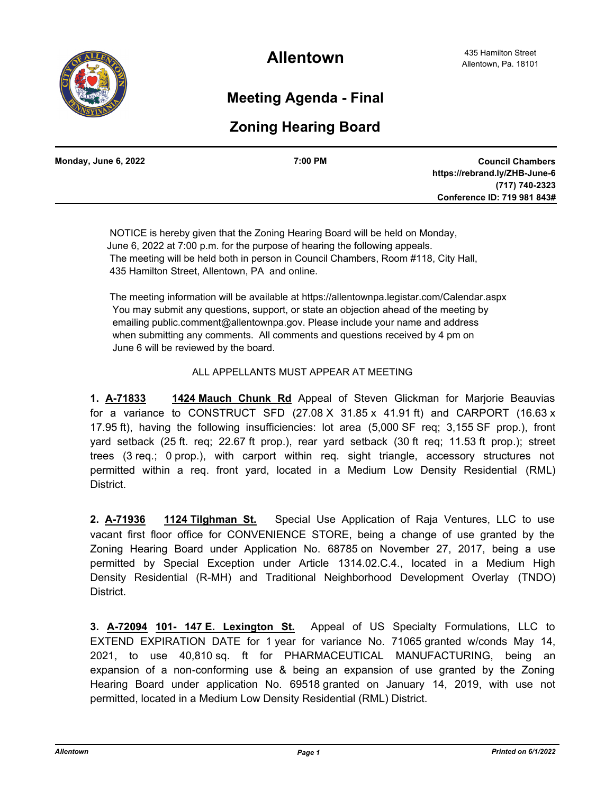

**Allentown**

## **Meeting Agenda - Final**

## **Zoning Hearing Board**

| Monday, June 6, 2022 | 7:00 PM | <b>Council Chambers</b>       |
|----------------------|---------|-------------------------------|
|                      |         | https://rebrand.ly/ZHB-June-6 |
|                      |         | (717) 740-2323                |
|                      |         | Conference ID: 719 981 843#   |
|                      |         |                               |

 NOTICE is hereby given that the Zoning Hearing Board will be held on Monday, June 6, 2022 at 7:00 p.m. for the purpose of hearing the following appeals. The meeting will be held both in person in Council Chambers, Room #118, City Hall, 435 Hamilton Street, Allentown, PA and online.

 The meeting information will be available at https://allentownpa.legistar.com/Calendar.aspx You may submit any questions, support, or state an objection ahead of the meeting by emailing public.comment@allentownpa.gov. Please include your name and address when submitting any comments. All comments and questions received by 4 pm on June 6 will be reviewed by the board.

## ALL APPELLANTS MUST APPEAR AT MEETING

**1. A-71833 1424 Mauch Chunk Rd** Appeal of Steven Glickman for Marjorie Beauvias for a variance to CONSTRUCT SFD  $(27.08 \times 31.85 \times 41.91 \text{ ft})$  and CARPORT  $(16.63 \times$ 17.95 ft), having the following insufficiencies: lot area (5,000 SF req; 3,155 SF prop.), front yard setback (25 ft. req; 22.67 ft prop.), rear yard setback (30 ft req; 11.53 ft prop.); street trees (3 req.; 0 prop.), with carport within req. sight triangle, accessory structures not permitted within a req. front yard, located in a Medium Low Density Residential (RML) District.

**2. A-71936 1124 Tilghman St.** Special Use Application of Raja Ventures, LLC to use vacant first floor office for CONVENIENCE STORE, being a change of use granted by the Zoning Hearing Board under Application No. 68785 on November 27, 2017, being a use permitted by Special Exception under Article 1314.02.C.4., located in a Medium High Density Residential (R-MH) and Traditional Neighborhood Development Overlay (TNDO) District.

**3. A-72094 101- 147 E. Lexington St.** Appeal of US Specialty Formulations, LLC to EXTEND EXPIRATION DATE for 1 year for variance No. 71065 granted w/conds May 14, 2021, to use 40,810 sq. ft for PHARMACEUTICAL MANUFACTURING, being an expansion of a non-conforming use & being an expansion of use granted by the Zoning Hearing Board under application No. 69518 granted on January 14, 2019, with use not permitted, located in a Medium Low Density Residential (RML) District.